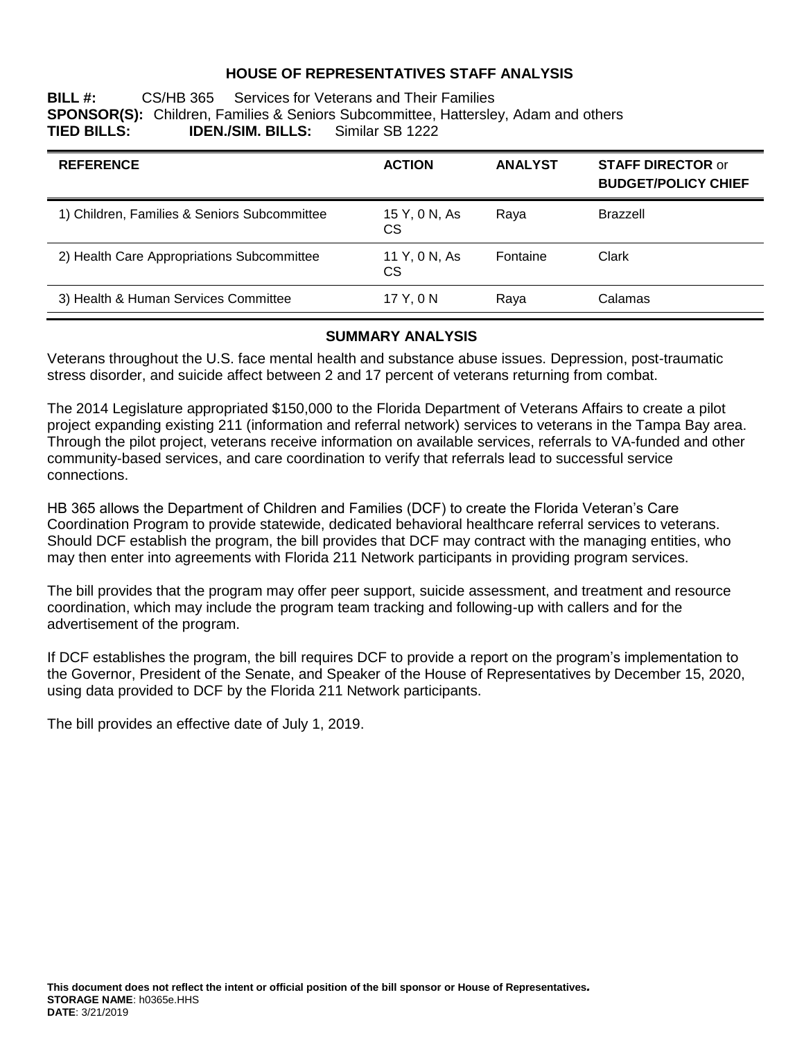#### **HOUSE OF REPRESENTATIVES STAFF ANALYSIS**

**BILL #:** CS/HB 365 Services for Veterans and Their Families **SPONSOR(S):** Children, Families & Seniors Subcommittee, Hattersley, Adam and others **IDEN./SIM. BILLS:** 

| <b>REFERENCE</b>                             | <b>ACTION</b>       | <b>ANALYST</b> | <b>STAFF DIRECTOR or</b><br><b>BUDGET/POLICY CHIEF</b> |
|----------------------------------------------|---------------------|----------------|--------------------------------------------------------|
| 1) Children, Families & Seniors Subcommittee | 15 Y, 0 N, As<br>СS | Raya           | Brazzell                                               |
| 2) Health Care Appropriations Subcommittee   | 11 Y, 0 N, As<br>CS | Fontaine       | Clark                                                  |
| 3) Health & Human Services Committee         | 17 Y.ON             | Raya           | Calamas                                                |

#### **SUMMARY ANALYSIS**

Veterans throughout the U.S. face mental health and substance abuse issues. Depression, post-traumatic stress disorder, and suicide affect between 2 and 17 percent of veterans returning from combat.

The 2014 Legislature appropriated \$150,000 to the Florida Department of Veterans Affairs to create a pilot project expanding existing 211 (information and referral network) services to veterans in the Tampa Bay area. Through the pilot project, veterans receive information on available services, referrals to VA-funded and other community-based services, and care coordination to verify that referrals lead to successful service connections.

HB 365 allows the Department of Children and Families (DCF) to create the Florida Veteran's Care Coordination Program to provide statewide, dedicated behavioral healthcare referral services to veterans. Should DCF establish the program, the bill provides that DCF may contract with the managing entities, who may then enter into agreements with Florida 211 Network participants in providing program services.

The bill provides that the program may offer peer support, suicide assessment, and treatment and resource coordination, which may include the program team tracking and following-up with callers and for the advertisement of the program.

If DCF establishes the program, the bill requires DCF to provide a report on the program's implementation to the Governor, President of the Senate, and Speaker of the House of Representatives by December 15, 2020, using data provided to DCF by the Florida 211 Network participants.

The bill provides an effective date of July 1, 2019.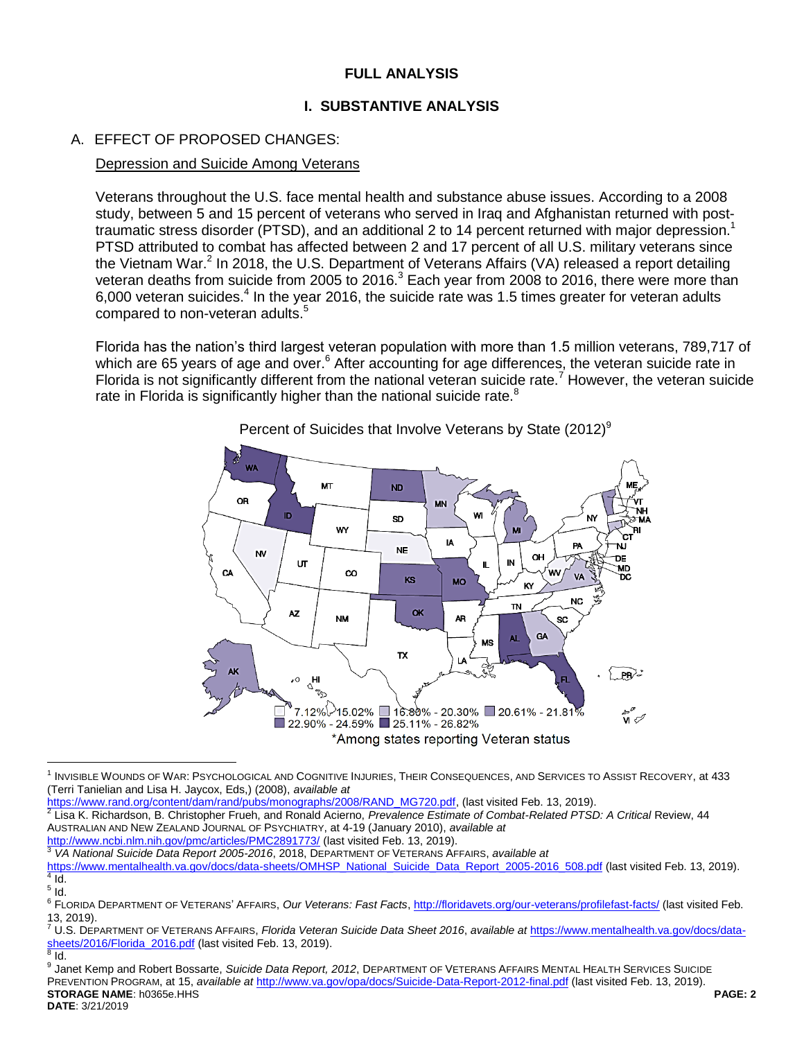# **FULL ANALYSIS**

# **I. SUBSTANTIVE ANALYSIS**

# A. EFFECT OF PROPOSED CHANGES:

#### Depression and Suicide Among Veterans

Veterans throughout the U.S. face mental health and substance abuse issues. According to a 2008 study, between 5 and 15 percent of veterans who served in Iraq and Afghanistan returned with posttraumatic stress disorder (PTSD), and an additional 2 to 14 percent returned with major depression.<sup>1</sup> PTSD attributed to combat has affected between 2 and 17 percent of all U.S. military veterans since the Vietnam War.<sup>2</sup> In 2018, the U.S. Department of Veterans Affairs (VA) released a report detailing veteran deaths from suicide from 2005 to 2016.<sup>3</sup> Each year from 2008 to 2016, there were more than 6,000 veteran suicides. $4$  In the year 2016, the suicide rate was 1.5 times greater for veteran adults compared to non-veteran adults.<sup>5</sup>

Florida has the nation's third largest veteran population with more than 1.5 million veterans, 789,717 of which are 65 years of age and over.<sup>6</sup> After accounting for age differences, the veteran suicide rate in Florida is not significantly different from the national veteran suicide rate.<sup>7</sup> However, the veteran suicide rate in Florida is significantly higher than the national suicide rate.<sup>8</sup>



<span id="page-1-0"></span>Percent of Suicides that Involve Veterans by State (2012)<sup>9</sup>

<sup>1</sup> INVISIBLE WOUNDS OF WAR: PSYCHOLOGICAL AND COGNITIVE INJURIES, THEIR CONSEQUENCES, AND SERVICES TO ASSIST RECOVERY, at 433 (Terri Tanielian and Lisa H. Jaycox, Eds,) (2008), *available at* 

<sup>&</sup>lt;u>https://www.rand.org/content/dam/rand/pubs/monographs/2008/RAND\_MG720.pdf</u>, (last visited Feb. 13, 2019).<br><sup>2</sup> Lisa K. Richardson, B. Christopher Frueh, and Ronald Acierno, *Prevalence Estimate of Combat-Related PTSD: A Cr* AUSTRALIAN AND NEW ZEALAND JOURNAL OF PSYCHIATRY, at 4-19 (January 2010), *available at* <http://www.ncbi.nlm.nih.gov/pmc/articles/PMC2891773/> (last visited Feb. 13, 2019).

<sup>3</sup> *VA National Suicide Data Report 2005-2016*, 2018, DEPARTMENT OF VETERANS AFFAIRS, *available at*

[https://www.mentalhealth.va.gov/docs/data-sheets/OMHSP\\_National\\_Suicide\\_Data\\_Report\\_2005-2016\\_508.pdf](https://www.mentalhealth.va.gov/docs/data-sheets/OMHSP_National_Suicide_Data_Report_2005-2016_508.pdf) (last visited Feb. 13, 2019).  $\overline{A}$ Id.

 $^5$  Id.

<sup>6</sup> FLORIDA DEPARTMENT OF VETERANS' AFFAIRS, *Our Veterans: Fast Facts*,<http://floridavets.org/our-veterans/profilefast-facts/> (last visited Feb. 13, 2019).

<sup>7</sup> U.S. DEPARTMENT OF VETERANS AFFAIRS, *Florida Veteran Suicide Data Sheet 2016*, *available at* [https://www.mentalhealth.va.gov/docs/data](https://www.mentalhealth.va.gov/docs/data-sheets/2016/Florida_2016.pdf)[sheets/2016/Florida\\_2016.pdf](https://www.mentalhealth.va.gov/docs/data-sheets/2016/Florida_2016.pdf) (last visited Feb. 13, 2019).  $^8$  Id.

**STORAGE NAME**: h0365e.HHS **PAGE: 2 DATE**: 3/21/2019 <sup>9</sup> Janet Kemp and Robert Bossarte, *Suicide Data Report, 2012*, DEPARTMENT OF VETERANS AFFAIRS MENTAL HEALTH SERVICES SUICIDE PREVENTION PROGRAM, at 15, *available at* <http://www.va.gov/opa/docs/Suicide-Data-Report-2012-final.pdf> (last visited Feb. 13, 2019).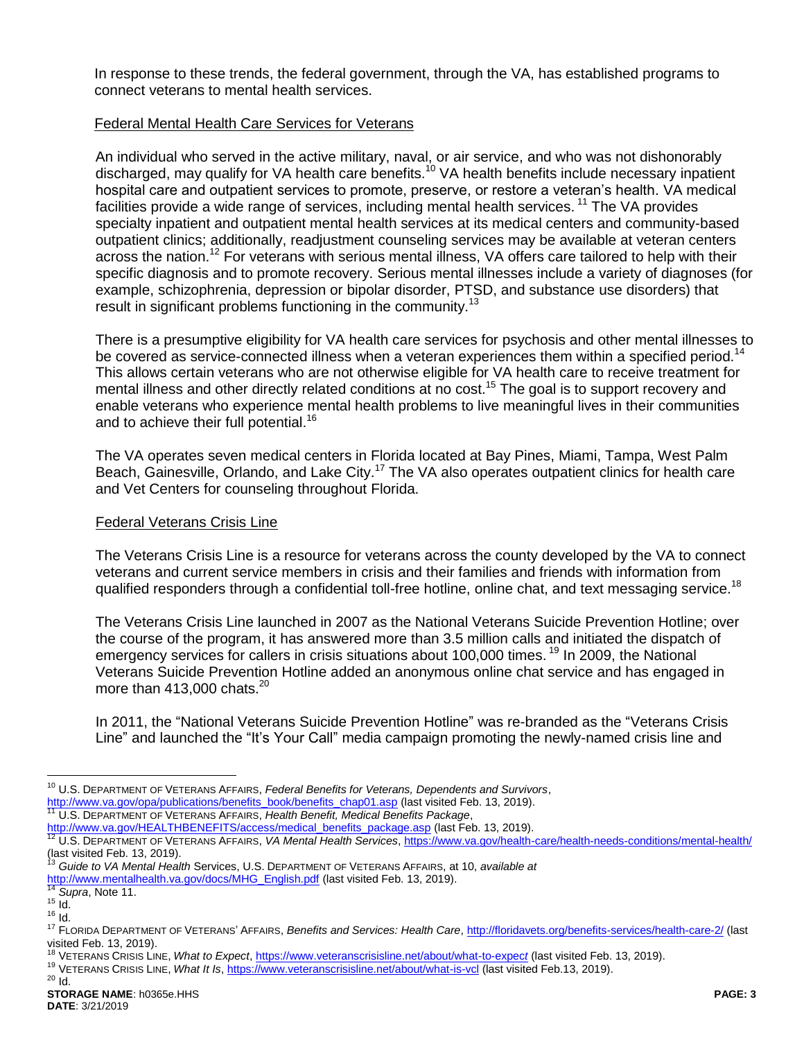In response to these trends, the federal government, through the VA, has established programs to connect veterans to mental health services.

#### Federal Mental Health Care Services for Veterans

<span id="page-2-0"></span>An individual who served in the active military, naval, or air service, and who was not dishonorably discharged, may qualify for VA health care benefits.<sup>10</sup> VA health benefits include necessary inpatient hospital care and outpatient services to promote, preserve, or restore a veteran's health. VA medical facilities provide a wide range of services, including mental health services. <sup>11</sup> The VA provides specialty inpatient and outpatient mental health services at its medical centers and community-based outpatient clinics; additionally, readjustment counseling services may be available at veteran centers across the nation.<sup>12</sup> For veterans with serious mental illness, VA offers care tailored to help with their specific diagnosis and to promote recovery. Serious mental illnesses include a variety of diagnoses (for example, schizophrenia, depression or bipolar disorder, PTSD, and substance use disorders) that result in significant problems functioning in the community.<sup>13</sup>

There is a presumptive eligibility for VA health care services for psychosis and other mental illnesses to be covered as service-connected illness when a veteran experiences them within a specified period.<sup>14</sup> This allows certain veterans who are not otherwise eligible for VA health care to receive treatment for mental illness and other directly related conditions at no cost.<sup>15</sup> The goal is to support recovery and enable veterans who experience mental health problems to live meaningful lives in their communities and to achieve their full potential.<sup>16</sup>

The VA operates seven medical centers in Florida located at Bay Pines, Miami, Tampa, West Palm Beach, Gainesville, Orlando, and Lake City.<sup>17</sup> The VA also operates outpatient clinics for health care and Vet Centers for counseling throughout Florida.

#### Federal Veterans Crisis Line

The Veterans Crisis Line is a resource for veterans across the county developed by the VA to connect veterans and current service members in crisis and their families and friends with information from qualified responders through a confidential toll-free hotline, online chat, and text messaging service.<sup>18</sup>

<span id="page-2-1"></span>The Veterans Crisis Line launched in 2007 as the National Veterans Suicide Prevention Hotline; over the course of the program, it has answered more than 3.5 million calls and initiated the dispatch of emergency services for callers in crisis situations about 100,000 times.<sup>19</sup> In 2009, the National Veterans Suicide Prevention Hotline added an anonymous online chat service and has engaged in more than  $413,000$  chats.<sup>20</sup>

In 2011, the "National Veterans Suicide Prevention Hotline" was re-branded as the "Veterans Crisis Line" and launched the "It's Your Call" media campaign promoting the newly-named crisis line and

[http://www.va.gov/HEALTHBENEFITS/access/medical\\_benefits\\_package.asp](http://www.va.gov/HEALTHBENEFITS/access/medical_benefits_package.asp) (last Feb. 13, 2019).

<sup>10</sup> U.S. DEPARTMENT OF VETERANS AFFAIRS, *Federal Benefits for Veterans, Dependents and Survivors*,

[http://www.va.gov/opa/publications/benefits\\_book/benefits\\_chap01.asp](http://www.va.gov/opa/publications/benefits_book/benefits_chap01.asp) (last visited Feb. 13, 2019). <sup>11</sup> U.S. DEPARTMENT OF VETERANS AFFAIRS, *Health Benefit, Medical Benefits Package*,

<sup>12</sup> U.S. DEPARTMENT OF VETERANS AFFAIRS, *VA Mental Health Services*[, https://www.va.gov/health-care/health-needs-conditions/mental-health/](https://www.va.gov/health-care/health-needs-conditions/mental-health/) (last visited Feb. 13, 2019).

<sup>13</sup> *Guide to VA Mental Health* Services, U.S. DEPARTMENT OF VETERANS AFFAIRS, at 10, *available at*  [http://www.mentalhealth.va.gov/docs/MHG\\_English.pdf](http://www.mentalhealth.va.gov/docs/MHG_English.pdf) (last visited Feb. 13, 2019).

<sup>14</sup> *Supra*, Note [11.](#page-2-0)

 $15$  Id.

<sup>16</sup> Id.

<sup>17</sup> FLORIDA DEPARTMENT OF VETERANS' AFFAIRS, *Benefits and Services: Health Care*[, http://floridavets.org/benefits-services/health-care-2/](http://floridavets.org/benefits-services/health-care-2/) (last visited Feb. 13, 2019).

<sup>&</sup>lt;sup>18</sup> VETERANS CRISIS LINE, What to Expect, [https://www.veteranscrisisline.net/about/what-to-expec](https://www.veteranscrisisline.net/about/what-to-expect)t (last visited Feb. 13, 2019).

<sup>&</sup>lt;sup>19</sup> VETERANS CRISIS LINE, *What It Is*,<https://www.veteranscrisisline.net/about/what-is-vcl> (last visited Feb.13, 2019).  $20$  Id.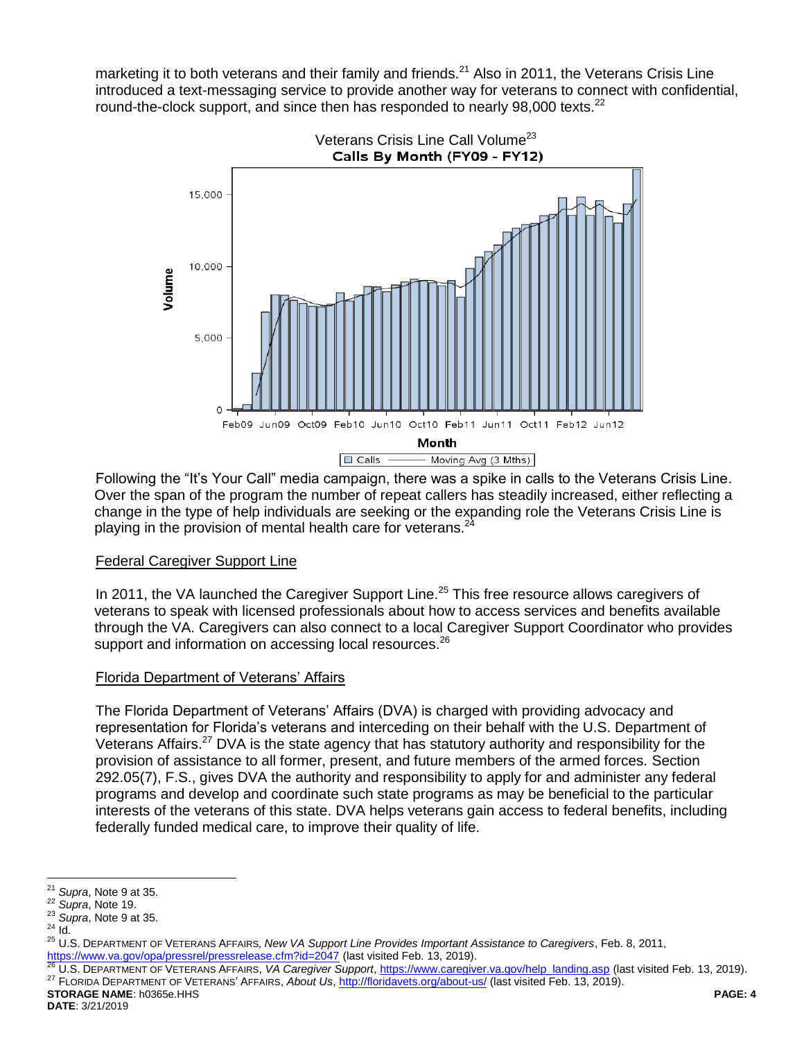marketing it to both veterans and their family and friends.<sup>21</sup> Also in 2011, the Veterans Crisis Line introduced a text-messaging service to provide another way for veterans to connect with confidential, round-the-clock support, and since then has responded to nearly 98,000 texts.<sup>22</sup>



Following the "It's Your Call" media campaign, there was a spike in calls to the Veterans Crisis Line. Over the span of the program the number of repeat callers has steadily increased, either reflecting a change in the type of help individuals are seeking or the expanding role the Veterans Crisis Line is playing in the provision of mental health care for veterans. $^{24}$ 

#### Federal Caregiver Support Line

In 2011, the VA launched the Caregiver Support Line.<sup>25</sup> This free resource allows caregivers of veterans to speak with licensed professionals about how to access services and benefits available through the VA. Caregivers can also connect to a local Caregiver Support Coordinator who provides support and information on accessing local resources.<sup>26</sup>

#### Florida Department of Veterans' Affairs

The Florida Department of Veterans' Affairs (DVA) is charged with providing advocacy and representation for Florida's veterans and interceding on their behalf with the U.S. Department of Veterans Affairs.<sup>27</sup> DVA is the state agency that has statutory authority and responsibility for the provision of assistance to all former, present, and future members of the armed forces. Section 292.05(7), F.S., gives DVA the authority and responsibility to apply for and administer any federal programs and develop and coordinate such state programs as may be beneficial to the particular interests of the veterans of this state. DVA helps veterans gain access to federal benefits, including federally funded medical care, to improve their quality of life.

 $21$ Supra, Note [9](#page-1-0) at 35.

<sup>22</sup> *Supra*, Note [19.](#page-2-1)

<sup>23</sup> *Supra*, Note [9](#page-1-0) at 35.

 $24$  Id.

<sup>25</sup> U.S. DEPARTMENT OF VETERANS AFFAIRS*, New VA Support Line Provides Important Assistance to Caregivers*, Feb. 8, 2011, <https://www.va.gov/opa/pressrel/pressrelease.cfm?id=2047> (last visited Feb. 13, 2019).

<sup>26</sup> U.S. DEPARTMENT OF VETERANS AFFAIRS, *VA Caregiver Support*[, https://www.caregiver.va.gov/help\\_landing.asp](https://www.caregiver.va.gov/help_landing.asp) (last visited Feb. 13, 2019). <sup>27</sup> FLORIDA DEPARTMENT OF VETERANS' AFFAIRS, About Us,<http://floridavets.org/about-us/> (last visited Feb. 13, 2019).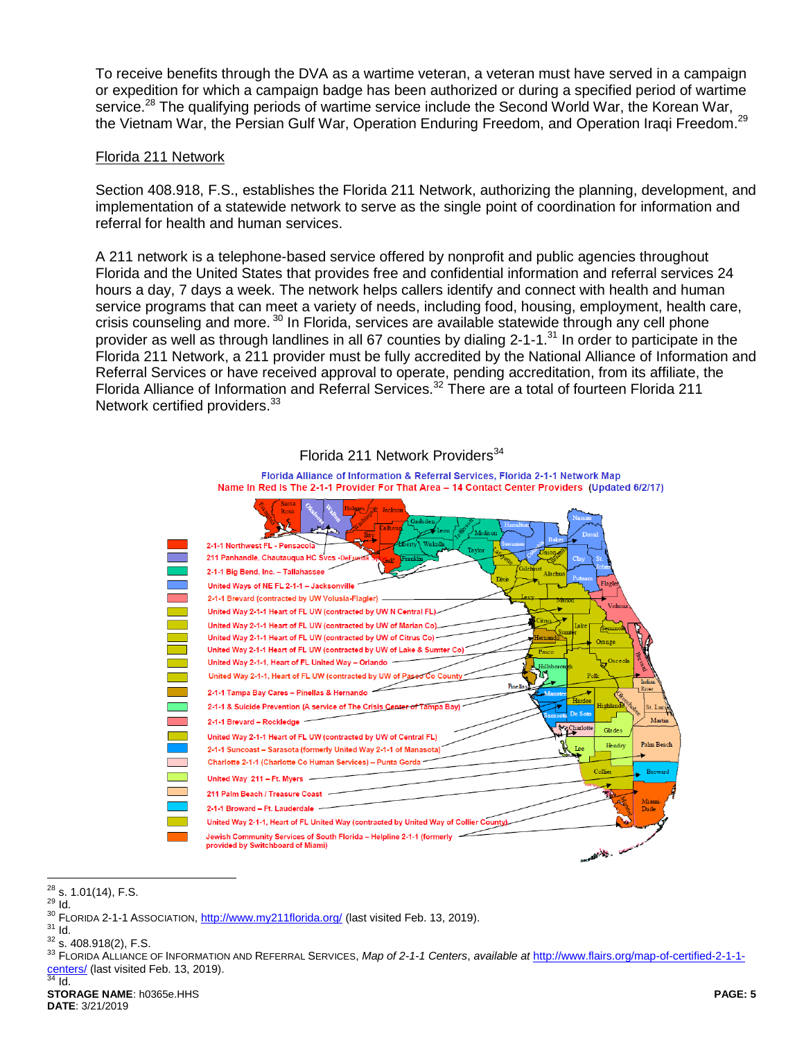To receive benefits through the DVA as a wartime veteran, a veteran must have served in a campaign or expedition for which a campaign badge has been authorized or during a specified period of wartime service.<sup>28</sup> The qualifying periods of wartime service include the Second World War, the Korean War, the Vietnam War, the Persian Gulf War, Operation Enduring Freedom, and Operation Iraqi Freedom.<sup>29</sup>

#### Florida 211 Network

Section 408.918, F.S., establishes the Florida 211 Network, authorizing the planning, development, and implementation of a statewide network to serve as the single point of coordination for information and referral for health and human services.

A 211 network is a telephone-based service offered by nonprofit and public agencies throughout Florida and the United States that provides free and confidential information and referral services 24 hours a day, 7 days a week. The network helps callers identify and connect with health and human service programs that can meet a variety of needs, including food, housing, employment, health care, crisis counseling and more. <sup>30</sup> In Florida, services are available statewide through any cell phone provider as well as through landlines in all 67 counties by dialing 2-1-1.<sup>31</sup> In order to participate in the Florida 211 Network, a 211 provider must be fully accredited by the National Alliance of Information and Referral Services or have received approval to operate, pending accreditation, from its affiliate, the Florida Alliance of Information and Referral Services.<sup>32</sup> There are a total of fourteen Florida 211 Network certified providers.<sup>33</sup>



# Florida 211 Network Providers<sup>34</sup>

 $\overline{a}$  $^{28}$  s. 1.01(14), F.S.

<sup>29</sup> Id.

<sup>&</sup>lt;sup>30</sup> FLORIDA 2-1-1 ASSOCIATION,<http://www.my211florida.org/> (last visited Feb. 13, 2019).  $31$  Id.

 $32$  s. 408.918(2), F.S.

<sup>33</sup> FLORIDA ALLIANCE OF INFORMATION AND REFERRAL SERVICES, *Map of 2-1-1 Centers*, *available at* [http://www.flairs.org/map-of-certified-2-1-1](http://www.flairs.org/map-of-certified-2-1-1-centers/) [centers/](http://www.flairs.org/map-of-certified-2-1-1-centers/) (last visited Feb. 13, 2019).  $rac{64}{34}$  Id.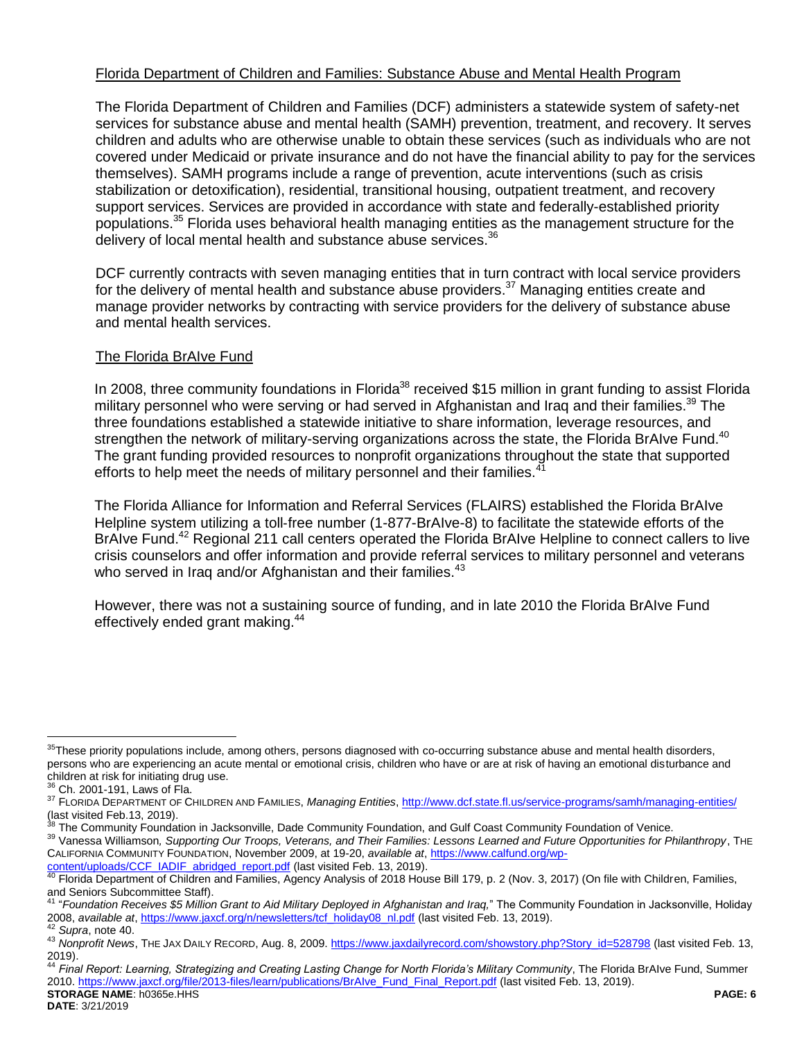#### Florida Department of Children and Families: Substance Abuse and Mental Health Program

The Florida Department of Children and Families (DCF) administers a statewide system of safety-net services for substance abuse and mental health (SAMH) prevention, treatment, and recovery. It serves children and adults who are otherwise unable to obtain these services (such as individuals who are not covered under Medicaid or private insurance and do not have the financial ability to pay for the services themselves). SAMH programs include a range of prevention, acute interventions (such as crisis stabilization or detoxification), residential, transitional housing, outpatient treatment, and recovery support services. Services are provided in accordance with state and federally-established priority populations.<sup>35</sup> Florida uses behavioral health managing entities as the management structure for the delivery of local mental health and substance abuse services.<sup>36</sup>

DCF currently contracts with seven managing entities that in turn contract with local service providers for the delivery of mental health and substance abuse providers.<sup>37</sup> Managing entities create and manage provider networks by contracting with service providers for the delivery of substance abuse and mental health services.

#### The Florida BrAIve Fund

<span id="page-5-0"></span>In 2008, three community foundations in Florida<sup>38</sup> received \$15 million in grant funding to assist Florida military personnel who were serving or had served in Afghanistan and Irag and their families.<sup>39</sup> The three foundations established a statewide initiative to share information, leverage resources, and strengthen the network of military-serving organizations across the state, the Florida BrAIve Fund.<sup>40</sup> The grant funding provided resources to nonprofit organizations throughout the state that supported efforts to help meet the needs of military personnel and their families.<sup>4</sup>

The Florida Alliance for Information and Referral Services (FLAIRS) established the Florida BrAIve Helpline system utilizing a toll-free number (1-877-BrAIve-8) to facilitate the statewide efforts of the BrAIve Fund.<sup>42</sup> Regional 211 call centers operated the Florida BrAIve Helpline to connect callers to live crisis counselors and offer information and provide referral services to military personnel and veterans who served in Iraq and/or Afghanistan and their families.<sup>43</sup>

However, there was not a sustaining source of funding, and in late 2010 the Florida BrAIve Fund effectively ended grant making.<sup>44</sup>

 $\overline{a}$ 

The Community Foundation in Jacksonville, Dade Community Foundation, and Gulf Coast Community Foundation of Venice.

<sup>39</sup> Vanessa Williamson*, Supporting Our Troops, Veterans, and Their Families: Lessons Learned and Future Opportunities for Philanthropy*, THE CALIFORNIA COMMUNITY FOUNDATION, November 2009, at 19-20, *available at*, [https://www.calfund.org/wp-](https://www.calfund.org/wp-content/uploads/CCF_IADIF_abridged_report.pdf)

<sup>&</sup>lt;sup>35</sup>These priority populations include, among others, persons diagnosed with co-occurring substance abuse and mental health disorders, persons who are experiencing an acute mental or emotional crisis, children who have or are at risk of having an emotional disturbance and children at risk for initiating drug use.

<sup>&</sup>lt;sup>36</sup> Ch. 2001-191, Laws of Fla.

<sup>37</sup> FLORIDA DEPARTMENT OF CHILDREN AND FAMILIES, *Managing Entities*,<http://www.dcf.state.fl.us/service-programs/samh/managing-entities/> (last visited Feb.13, 2019).

[content/uploads/CCF\\_IADIF\\_abridged\\_report.pdf](https://www.calfund.org/wp-content/uploads/CCF_IADIF_abridged_report.pdf) (last visited Feb. 13, 2019).

<sup>&</sup>lt;sup>40</sup> Florida Department of Children and Families, Agency Analysis of 2018 House Bill 179, p. 2 (Nov. 3, 2017) (On file with Children, Families, and Seniors Subcommittee Staff).

<sup>41</sup> "*Foundation Receives \$5 Million Grant to Aid Military Deployed in Afghanistan and Iraq,*" The Community Foundation in Jacksonville, Holiday 2008, *available at*, [https://www.jaxcf.org/n/newsletters/tcf\\_holiday08\\_nl.pdf](https://www.jaxcf.org/n/newsletters/tcf_holiday08_nl.pdf) (last visited Feb. 13, 2019). <sup>42</sup> *Supra*, note [40.](#page-5-0)

<sup>43</sup> *Nonprofit News*, THE JAX DAILY RECORD, Aug. 8, 2009. [https://www.jaxdailyrecord.com/showstory.php?Story\\_id=528798](https://www.jaxdailyrecord.com/showstory.php?Story_id=528798) (last visited Feb. 13, 2019).

**STORAGE NAME**: h0365e.HHS **PAGE: 6** <sup>44</sup> *Final Report: Learning, Strategizing and Creating Lasting Change for North Florida's Military Community*, The Florida BrAIve Fund, Summer 2010[. https://www.jaxcf.org/file/2013-files/learn/publications/BrAIve\\_Fund\\_Final\\_Report.pdf](https://www.jaxcf.org/file/2013-files/learn/publications/BrAIve_Fund_Final_Report.pdf) (last visited Feb. 13, 2019).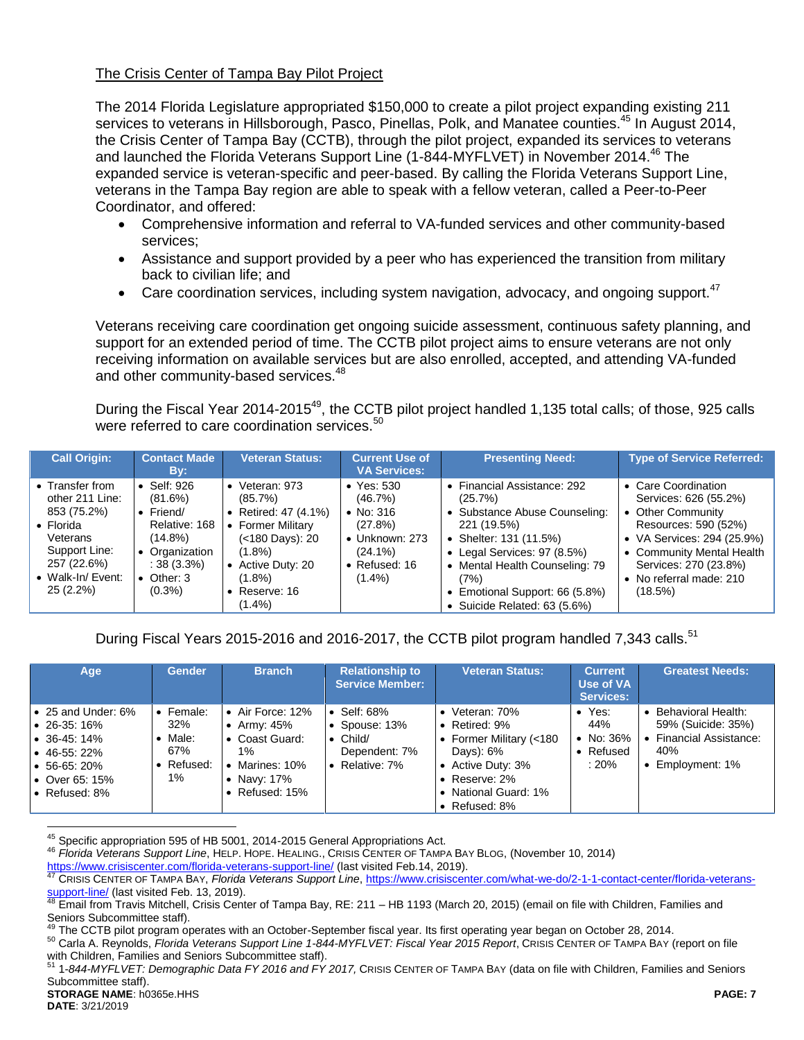#### The Crisis Center of Tampa Bay Pilot Project

The 2014 Florida Legislature appropriated \$150,000 to create a pilot project expanding existing 211 services to veterans in Hillsborough, Pasco, Pinellas, Polk, and Manatee counties.<sup>45</sup> In August 2014, the Crisis Center of Tampa Bay (CCTB), through the pilot project, expanded its services to veterans and launched the Florida Veterans Support Line (1-844-MYFLVET) in November 2014.<sup>46</sup> The expanded service is veteran-specific and peer-based. By calling the Florida Veterans Support Line, veterans in the Tampa Bay region are able to speak with a fellow veteran, called a Peer-to-Peer Coordinator, and offered:

- Comprehensive information and referral to VA-funded services and other community-based services;
- Assistance and support provided by a peer who has experienced the transition from military back to civilian life; and
- **Care coordination services, including system navigation, advocacy, and ongoing support.**<sup>47</sup>

Veterans receiving care coordination get ongoing suicide assessment, continuous safety planning, and support for an extended period of time. The CCTB pilot project aims to ensure veterans are not only receiving information on available services but are also enrolled, accepted, and attending VA-funded and other community-based services.<sup>48</sup>

During the Fiscal Year 2014-2015<sup>49</sup>, the CCTB pilot project handled 1,135 total calls; of those, 925 calls were referred to care coordination services.<sup>50</sup>

| <b>Call Origin:</b>                                                                                                                                   | <b>Contact Made</b><br>By:                                                                                                                               | <b>Veteran Status:</b>                                                                                                                                              | <b>Current Use of</b><br><b>VA Services:</b>                                                                                    | <b>Presenting Need:</b>                                                                                                                                                                                                                                        | <b>Type of Service Referred:</b>                                                                                                                                                                                    |
|-------------------------------------------------------------------------------------------------------------------------------------------------------|----------------------------------------------------------------------------------------------------------------------------------------------------------|---------------------------------------------------------------------------------------------------------------------------------------------------------------------|---------------------------------------------------------------------------------------------------------------------------------|----------------------------------------------------------------------------------------------------------------------------------------------------------------------------------------------------------------------------------------------------------------|---------------------------------------------------------------------------------------------------------------------------------------------------------------------------------------------------------------------|
| • Transfer from<br>other 211 Line:<br>853 (75.2%)<br>$\bullet$ Florida<br>Veterans<br>Support Line:<br>257 (22.6%)<br>• Walk-In/Event:<br>$25(2.2\%)$ | $\bullet$ Self: 926<br>(81.6%)<br>$\bullet$ Friend/<br>Relative: 168<br>$(14.8\%)$<br>• Organization<br>$: 38(3.3\%)$<br>$\bullet$ Other: 3<br>$(0.3\%)$ | • Veteran: $973$<br>(85.7%)<br>• Retired: $47(4.1\%)$<br>• Former Military<br>(<180 Days): 20<br>(1.8%)<br>• Active Duty: 20<br>(1.8%)<br>• Reserve: $16$<br>(1.4%) | $\bullet$ Yes: 530<br>(46.7%)<br>• No: $316$<br>(27.8%)<br>$\bullet$ Unknown: 273<br>$(24.1\%)$<br>• Refused: $16$<br>$(1.4\%)$ | • Financial Assistance: 292<br>(25.7%)<br>Substance Abuse Counseling:<br>221 (19.5%)<br>• Shelter: 131 (11.5%)<br>Legal Services: 97 (8.5%)<br>Mental Health Counseling: 79<br>$\bullet$<br>(7%)<br>Emotional Support: 66 (5.8%)<br>Suicide Related: 63 (5.6%) | • Care Coordination<br>Services: 626 (55.2%)<br>• Other Community<br>Resources: 590 (52%)<br>• VA Services: 294 (25.9%)<br>• Community Mental Health<br>Services: 270 (23.8%)<br>• No referral made: 210<br>(18.5%) |

During Fiscal Years 2015-2016 and 2016-2017, the CCTB pilot program handled 7,343 calls.<sup>51</sup>

| Age                                                                                                                                                            | <b>Gender</b>                                                | <b>Branch</b>                                                                                                           | <b>Relationship to</b><br><b>Service Member:</b>                                              | <b>Veteran Status:</b>                                                                                                                                      | <b>Current</b><br>Use of VA<br>Services:                  | <b>Greatest Needs:</b>                                                                     |
|----------------------------------------------------------------------------------------------------------------------------------------------------------------|--------------------------------------------------------------|-------------------------------------------------------------------------------------------------------------------------|-----------------------------------------------------------------------------------------------|-------------------------------------------------------------------------------------------------------------------------------------------------------------|-----------------------------------------------------------|--------------------------------------------------------------------------------------------|
| $\bullet$ 25 and Under: 6%<br>$\bullet$ 26-35:16%<br>$\bullet$ 36-45:14%<br>$\bullet$ 46-55: 22%<br>$\bullet$ 56-65: 20%<br>l ● Over 65: 15%<br>Ⅰ• Refused: 8% | $\bullet$ Female:<br>32%<br>Male:<br>67%<br>• Refused:<br>1% | Air Force: 12%<br>• Army: $45\%$<br>• Coast Guard:<br>$1\%$<br>Marines: 10%<br>• Navy: $17\%$<br>$\bullet$ Refused: 15% | $\bullet$ Self: 68%<br>• Spouse: $13%$<br>$\bullet$ Child/<br>Dependent: 7%<br>• Relative: 7% | • Veteran: $70\%$<br>• Retired: $9\%$<br>• Former Military (<180<br>Days): 6%<br>• Active Duty: 3%<br>• Reserve: $2\%$<br>National Guard: 1%<br>Refused: 8% | $\bullet$ Yes:<br>44%<br>• No: $36\%$<br>Refused<br>: 20% | Behavioral Health:<br>59% (Suicide: 35%)<br>Financial Assistance:<br>40%<br>Employment: 1% |

<sup>&</sup>lt;sup>45</sup> Specific appropriation 595 of HB 5001, 2014-2015 General Appropriations Act.

<sup>46</sup> *Florida Veterans Support Line*, HELP. HOPE. HEALING., CRISIS CENTER OF TAMPA BAY BLOG, (November 10, 2014)

<https://www.crisiscenter.com/florida-veterans-support-line/> (last visited Feb.14, 2019).

<sup>47</sup> CRISIS CENTER OF TAMPA BAY, *Florida Veterans Support Line*[, https://www.crisiscenter.com/what-we-do/2-1-1-contact-center/florida-veterans](https://www.crisiscenter.com/what-we-do/2-1-1-contact-center/florida-veterans-support-line/)[support-line/](https://www.crisiscenter.com/what-we-do/2-1-1-contact-center/florida-veterans-support-line/) (last visited Feb. 13, 2019).

<sup>48</sup> Email from Travis Mitchell, Crisis Center of Tampa Bay, RE: 211 – HB 1193 (March 20, 2015) (email on file with Children, Families and Seniors Subcommittee staff).

The CCTB pilot program operates with an October-September fiscal year. Its first operating year began on October 28, 2014.

<sup>50</sup> Carla A. Reynolds, *Florida Veterans Support Line 1-844-MYFLVET: Fiscal Year 2015 Report*, CRISIS CENTER OF TAMPA BAY (report on file with Children, Families and Seniors Subcommittee staff).

**STORAGE NAME**: h0365e.HHS **PAGE: 7** <sup>51</sup> 1*-844-MYFLVET: Demographic Data FY 2016 and FY 2017,* CRISIS CENTER OF TAMPA BAY (data on file with Children, Families and Seniors Subcommittee staff).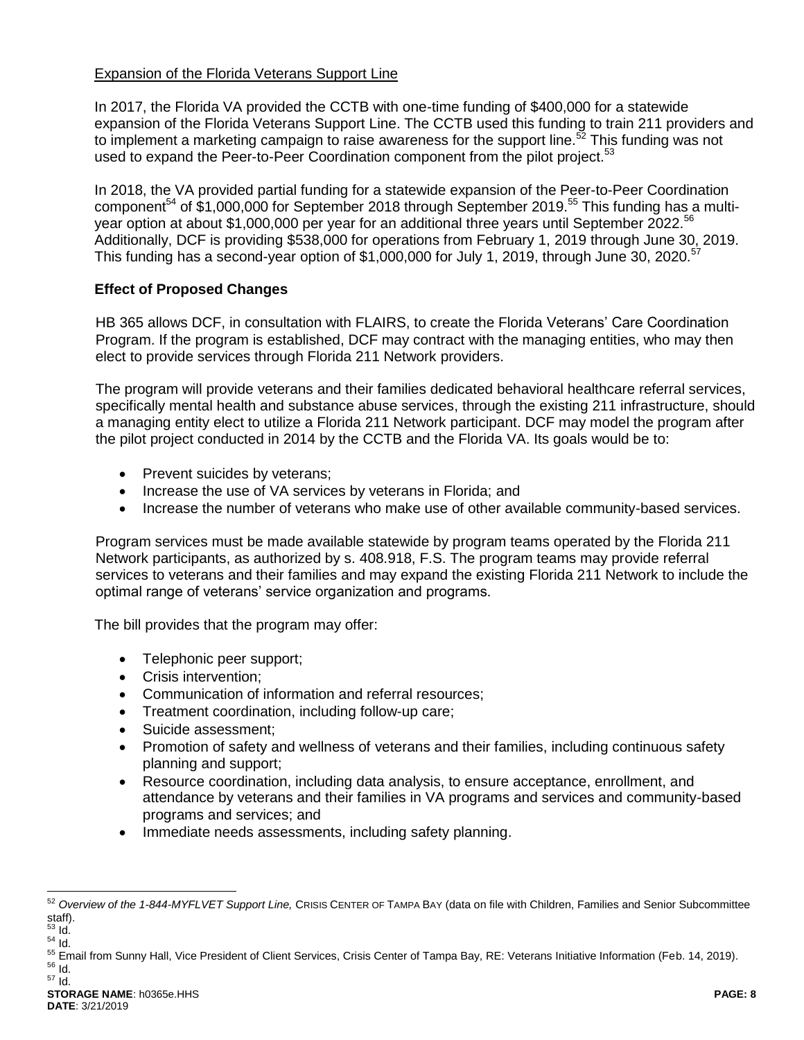#### Expansion of the Florida Veterans Support Line

In 2017, the Florida VA provided the CCTB with one-time funding of \$400,000 for a statewide expansion of the Florida Veterans Support Line. The CCTB used this funding to train 211 providers and to implement a marketing campaign to raise awareness for the support line.<sup>52</sup> This funding was not used to expand the Peer-to-Peer Coordination component from the pilot project.<sup>53</sup>

In 2018, the VA provided partial funding for a statewide expansion of the Peer-to-Peer Coordination component<sup>54</sup> of \$1,000,000 for September 2018 through September 2019.<sup>55</sup> This funding has a multiyear option at about \$1,000,000 per year for an additional three years until September 2022.<sup>56</sup> Additionally, DCF is providing \$538,000 for operations from February 1, 2019 through June 30, 2019. This funding has a second-year option of \$1,000,000 for July 1, 2019, through June 30, 2020.<sup>57</sup>

# **Effect of Proposed Changes**

HB 365 allows DCF, in consultation with FLAIRS, to create the Florida Veterans' Care Coordination Program. If the program is established, DCF may contract with the managing entities, who may then elect to provide services through Florida 211 Network providers.

The program will provide veterans and their families dedicated behavioral healthcare referral services, specifically mental health and substance abuse services, through the existing 211 infrastructure, should a managing entity elect to utilize a Florida 211 Network participant. DCF may model the program after the pilot project conducted in 2014 by the CCTB and the Florida VA. Its goals would be to:

- Prevent suicides by veterans;
- Increase the use of VA services by veterans in Florida; and
- Increase the number of veterans who make use of other available community-based services.

Program services must be made available statewide by program teams operated by the Florida 211 Network participants, as authorized by s. 408.918, F.S. The program teams may provide referral services to veterans and their families and may expand the existing Florida 211 Network to include the optimal range of veterans' service organization and programs.

The bill provides that the program may offer:

- Telephonic peer support;
- Crisis intervention:
- Communication of information and referral resources;
- Treatment coordination, including follow-up care;
- Suicide assessment;
- Promotion of safety and wellness of veterans and their families, including continuous safety planning and support;
- Resource coordination, including data analysis, to ensure acceptance, enrollment, and attendance by veterans and their families in VA programs and services and community-based programs and services; and
- Immediate needs assessments, including safety planning.

<sup>&</sup>lt;sup>52</sup> Overview of the 1-844-MYFLVET Support Line, CRISIS CENTER OF TAMPA BAY (data on file with Children, Families and Senior Subcommittee staff).

 $\overline{\mathsf{Id}}$ 

 $54$   $\overline{1}$ d. <sup>55</sup> Email from Sunny Hall, Vice President of Client Services, Crisis Center of Tampa Bay, RE: Veterans Initiative Information (Feb. 14, 2019).

<sup>56</sup> Id. <sup>57</sup> Id.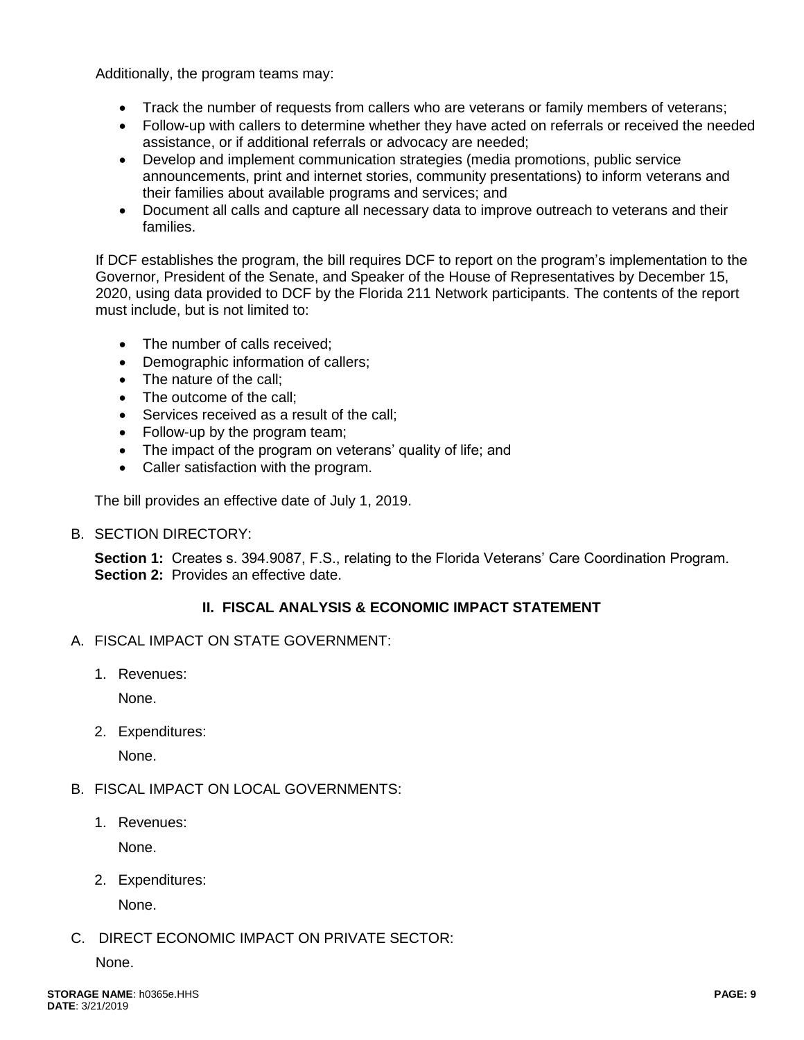Additionally, the program teams may:

- Track the number of requests from callers who are veterans or family members of veterans;
- Follow-up with callers to determine whether they have acted on referrals or received the needed assistance, or if additional referrals or advocacy are needed;
- Develop and implement communication strategies (media promotions, public service announcements, print and internet stories, community presentations) to inform veterans and their families about available programs and services; and
- Document all calls and capture all necessary data to improve outreach to veterans and their families.

If DCF establishes the program, the bill requires DCF to report on the program's implementation to the Governor, President of the Senate, and Speaker of the House of Representatives by December 15, 2020, using data provided to DCF by the Florida 211 Network participants. The contents of the report must include, but is not limited to:

- The number of calls received:
- Demographic information of callers;
- The nature of the call:
- The outcome of the call:
- Services received as a result of the call:
- Follow-up by the program team;
- The impact of the program on veterans' quality of life; and
- Caller satisfaction with the program.

The bill provides an effective date of July 1, 2019.

B. SECTION DIRECTORY:

**Section 1:** Creates s. 394.9087, F.S., relating to the Florida Veterans' Care Coordination Program. **Section 2:** Provides an effective date.

#### **II. FISCAL ANALYSIS & ECONOMIC IMPACT STATEMENT**

- A. FISCAL IMPACT ON STATE GOVERNMENT:
	- 1. Revenues:

None.

2. Expenditures:

None.

- B. FISCAL IMPACT ON LOCAL GOVERNMENTS:
	- 1. Revenues:

None.

2. Expenditures:

None.

# C. DIRECT ECONOMIC IMPACT ON PRIVATE SECTOR:

None.